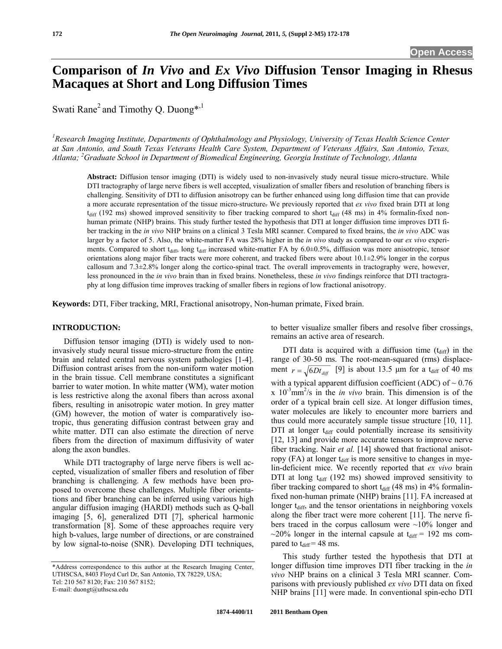# <span id="page-0-0"></span>**Comparison of** *In Vivo* **and** *Ex Vivo* **Diffusion Tensor Imaging in Rhesus Macaques at Short and Long Diffusion Times**

Swati Rane<sup>2</sup> and Timothy Q. Duong<sup>\*,1</sup>

<sup>1</sup> Research Imaging Institute, Departments of Ophthalmology and Physiology, University of Texas Health Science Center *at San Antonio, and South Texas Veterans Health Care System, Department of Veterans Affairs, San Antonio, Texas, Atlanta; <sup>2</sup> Graduate School in Department of Biomedical Engineering, Georgia Institute of Technology, Atlanta* 

**Abstract:** Diffusion tensor imaging (DTI) is widely used to non-invasively study neural tissue micro-structure. While DTI tractography of large nerve fibers is well accepted, visualization of smaller fibers and resolution of branching fibers is challenging. Sensitivity of DTI to diffusion anisotropy can be further enhanced using long diffusion time that can provide a more accurate representation of the tissue micro-structure. We previously reported that *ex vivo* fixed brain DTI at long  $t_{diff}$  (192 ms) showed improved sensitivity to fiber tracking compared to short  $t_{diff}$  (48 ms) in 4% formalin-fixed nonhuman primate (NHP) brains. This study further tested the hypothesis that DTI at longer diffusion time improves DTI fiber tracking in the *in vivo* NHP brains on a clinical 3 Tesla MRI scanner. Compared to fixed brains, the *in vivo* ADC was larger by a factor of 5. Also, the white-matter FA was 28% higher in the *in vivo* study as compared to our *ex vivo* experiments. Compared to short  $t_{diff}$ , long  $t_{diff}$  increased white-matter FA by 6.0 $\pm$ 0.5%, diffusion was more anisotropic, tensor orientations along major fiber tracts were more coherent, and tracked fibers were about 10.1±2.9% longer in the corpus callosum and 7.3±2.8% longer along the cortico-spinal tract. The overall improvements in tractography were, however, less pronounced in the *in vivo* brain than in fixed brains. Nonetheless, these *in vivo* findings reinforce that DTI tractography at long diffusion time improves tracking of smaller fibers in regions of low fractional anisotropy.

**Keywords:** DTI, Fiber tracking, MRI, Fractional anisotropy, Non-human primate, Fixed brain.

## **INTRODUCTION:**

 Diffusion tensor imaging (DTI) is widely used to noninvasively study neural tissue micro-structure from the entire brain and related central nervous system pathologies [\[1-4\]](#page-0-0). Diffusion contrast arises from the non-uniform water motion in the brain tissue. Cell membrane constitutes a significant barrier to water motion. In white matter (WM), water motion is less restrictive along the axonal fibers than across axonal fibers, resulting in anisotropic water motion. In grey matter (GM) however, the motion of water is comparatively isotropic, thus generating diffusion contrast between gray and white matter. DTI can also estimate the direction of nerve fibers from the direction of maximum diffusivity of water along the axon bundles.

 While DTI tractography of large nerve fibers is well accepted, visualization of smaller fibers and resolution of fiber branching is challenging. A few methods have been proposed to overcome these challenges. Multiple fiber orientations and fiber branching can be inferred using various high angular diffusion imaging (HARDI) methods such as Q-ball imaging [5, 6], generalized DTI [7], spherical harmonic transformation [8]. Some of these approaches require very high b-values, large number of directions, or are constrained by low signal-to-noise (SNR). Developing DTI techniques,

E-mail: duongt@uthscsa.edu

to better visualize smaller fibers and resolve fiber crossings, remains an active area of research.

DTI data is acquired with a diffusion time  $(t_{diff})$  in the range of 30-50 ms. The root-mean-squared (rms) displacement  $r = \sqrt{6Dt_{diff}}$  [9] is about 13.5 µm for a t<sub>diff</sub> of 40 ms with a typical apparent diffusion coefficient (ADC) of  $\sim 0.76$  $x$  10<sup>-3</sup>mm<sup>2</sup>/s in the *in vivo* brain. This dimension is of the order of a typical brain cell size. At longer diffusion times, water molecules are likely to encounter more barriers and thus could more accurately sample tissue structure [10, 11]. DTI at longer  $t_{diff}$  could potentially increase its sensitivity [12, 13] and provide more accurate tensors to improve nerve fiber tracking. Nair *et al.* [14] showed that fractional anisotropy (FA) at longer  $t_{diff}$  is more sensitive to changes in myelin-deficient mice. We recently reported that *ex vivo* brain DTI at long  $t_{diff}$  (192 ms) showed improved sensitivity to fiber tracking compared to short  $t_{diff}$  (48 ms) in 4% formalinfixed non-human primate (NHP) brains [11]. FA increased at longer  $t_{diff}$ , and the tensor orientations in neighboring voxels along the fiber tract were more coherent [11]. The nerve fibers traced in the corpus callosum were  $\sim$ 10% longer and  $\sim$ 20% longer in the internal capsule at t<sub>diff</sub> = 192 ms compared to  $t_{\text{diff}} = 48$  ms.

 This study further tested the hypothesis that DTI at longer diffusion time improves DTI fiber tracking in the *in vivo* NHP brains on a clinical 3 Tesla MRI scanner. Comparisons with previously published *ex vivo* DTI data on fixed NHP brains [11] were made. In conventional spin-echo DTI

<sup>\*</sup>Address correspondence to this author at the Research Imaging Center, UTHSCSA, 8403 Floyd Curl Dr, San Antonio, TX 78229, USA; Tel: 210 567 8120; Fax: 210 567 8152;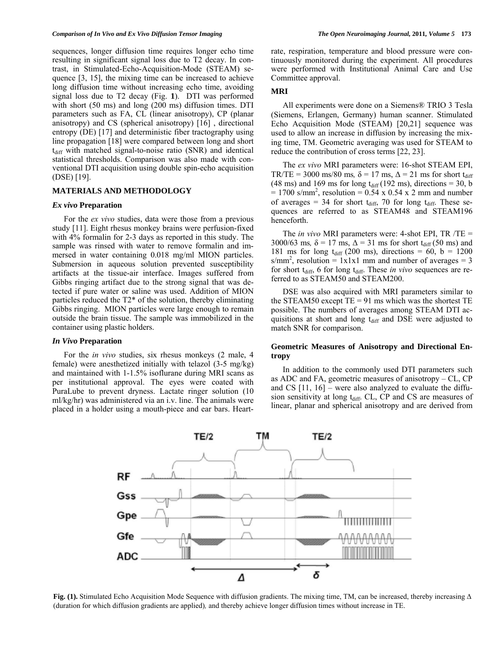sequences, longer diffusion time requires longer echo time resulting in significant signal loss due to T2 decay. In contrast, in Stimulated-Echo-Acquisition-Mode (STEAM) sequence [3, 15], the mixing time can be increased to achieve long diffusion time without increasing echo time, avoiding signal loss due to T2 decay (Fig. **1**). DTI was performed with short (50 ms) and long (200 ms) diffusion times. DTI parameters such as FA, CL (linear anisotropy), CP (planar anisotropy) and CS (spherical anisotropy) [16] , directional entropy (DE) [17] and deterministic fiber tractography using line propagation [18] were compared between long and short  $t_{diff}$  with matched signal-to-noise ratio (SNR) and identical statistical thresholds. Comparison was also made with conventional DTI acquisition using double spin-echo acquisition (DSE) [19].

### **MATERIALS AND METHODOLOGY**

#### *Ex vivo* **Preparation**

 For the *ex vivo* studies, data were those from a previous study [11]. Eight rhesus monkey brains were perfusion-fixed with 4% formalin for 2-3 days as reported in this study. The sample was rinsed with water to remove formalin and immersed in water containing 0.018 mg/ml MION particles. Submersion in aqueous solution prevented susceptibility artifacts at the tissue-air interface. Images suffered from Gibbs ringing artifact due to the strong signal that was detected if pure water or saline was used. Addition of MION particles reduced the T2\* of the solution, thereby eliminating Gibbs ringing. MION particles were large enough to remain outside the brain tissue. The sample was immobilized in the container using plastic holders.

#### *In Vivo* **Preparation**

 For the *in vivo* studies, six rhesus monkeys (2 male, 4 female) were anesthetized initially with telazol (3-5 mg/kg) and maintained with 1-1.5% isoflurane during MRI scans as per institutional approval. The eyes were coated with PuraLube to prevent dryness. Lactate ringer solution (10 ml/kg/hr) was administered via an i.v. line. The animals were placed in a holder using a mouth-piece and ear bars. Heartrate, respiration, temperature and blood pressure were continuously monitored during the experiment. All procedures were performed with Institutional Animal Care and Use Committee approval.

## **MRI**

 All experiments were done on a Siemens® TRIO 3 Tesla (Siemens, Erlangen, Germany) human scanner. Stimulated Echo Acquisition Mode (STEAM) [20,21] sequence was used to allow an increase in diffusion by increasing the mixing time, TM. Geometric averaging was used for STEAM to reduce the contribution of cross terms [22, 23].

 The *ex vivo* MRI parameters were: 16-shot STEAM EPI, TR/TE = 3000 ms/80 ms,  $\delta$  = 17 ms,  $\Delta$  = 21 ms for short t<sub>diff</sub> (48 ms) and 169 ms for long  $t_{diff}$  (192 ms), directions = 30, b  $= 1700$  s/mm<sup>2</sup>, resolution = 0.54 x 0.54 x 2 mm and number of averages = 34 for short  $t_{diff}$ , 70 for long  $t_{diff}$ . These sequences are referred to as STEAM48 and STEAM196 henceforth.

 The *in vivo* MRI parameters were: 4-shot EPI, TR /TE = 3000/63 ms,  $\delta$  = 17 ms,  $\Delta$  = 31 ms for short t<sub>diff</sub> (50 ms) and 181 ms for long  $t_{diff}$  (200 ms), directions = 60, b = 1200  $s/mm^2$ , resolution = 1x1x1 mm and number of averages = 3 for short t<sub>diff</sub>, 6 for long t<sub>diff</sub>. These *in vivo* sequences are referred to as STEAM50 and STEAM200.

 DSE was also acquired with MRI parameters similar to the STEAM50 except  $TE = 91$  ms which was the shortest  $TE$ possible. The numbers of averages among STEAM DTI acquisitions at short and long t<sub>diff</sub> and DSE were adjusted to match SNR for comparison.

# **Geometric Measures of Anisotropy and Directional Entropy**

 In addition to the commonly used DTI parameters such as ADC and FA, geometric measures of anisotropy – CL, CP and CS [11, 16] – were also analyzed to evaluate the diffusion sensitivity at long t<sub>diff</sub>. CL, CP and CS are measures of linear, planar and spherical anisotropy and are derived from



**Fig. (1).** Stimulated Echo Acquisition Mode Sequence with diffusion gradients. The mixing time, TM, can be increased, thereby increasing Δ (duration for which diffusion gradients are applied)*,* and thereby achieve longer diffusion times without increase in TE.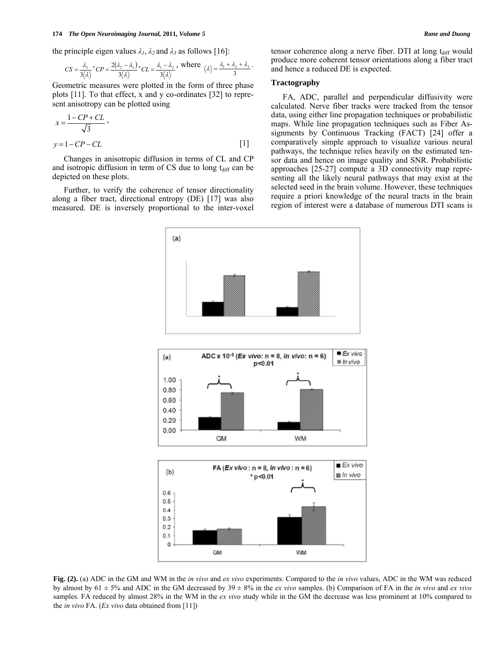the principle eigen values  $\lambda_1$ ,  $\lambda_2$  and  $\lambda_3$  as follows [16]:

$$
CS = \frac{\lambda_3}{3\langle \lambda \rangle}, CP = \frac{2(\lambda_2 - \lambda_3)}{3\langle \lambda \rangle}, CL = \frac{\lambda_1 - \lambda_2}{3\langle \lambda \rangle}, \text{ where } \langle \lambda \rangle = \frac{\lambda_1 + \lambda_2 + \lambda_3}{3}.
$$

Geometric measures were plotted in the form of three phase plots [11]. To that effect, x and y co-ordinates [32] to represent anisotropy can be plotted using

$$
x = \frac{1 - CP + CL}{\sqrt{3}},
$$
  
y = 1 - CP - CL [1]

 Changes in anisotropic diffusion in terms of CL and CP and isotropic diffusion in term of  $CS$  due to long  $t_{diff}$  can be depicted on these plots.

 Further, to verify the coherence of tensor directionality along a fiber tract, directional entropy (DE) [17] was also measured. DE is inversely proportional to the inter-voxel

tensor coherence along a nerve fiber. DTI at long  $t_{diff}$  would produce more coherent tensor orientations along a fiber tract and hence a reduced DE is expected.

# **Tractography**

 FA, ADC, parallel and perpendicular diffusivity were calculated. Nerve fiber tracks were tracked from the tensor data, using either line propagation techniques or probabilistic maps. While line propagation techniques such as Fiber Assignments by Continuous Tracking (FACT) [24] offer a comparatively simple approach to visualize various neural pathways, the technique relies heavily on the estimated tensor data and hence on image quality and SNR. Probabilistic approaches [25-27] compute a 3D connectivity map representing all the likely neural pathways that may exist at the selected seed in the brain volume. However, these techniques require a priori knowledge of the neural tracts in the brain region of interest were a database of numerous DTI scans is



**Fig. (2).** (a) ADC in the GM and WM in the *in vivo* and *ex vivo* experiments. Compared to the *in vivo* values, ADC in the WM was reduced by almost by 61 ± 5% and ADC in the GM decreased by 39 ± 8% in the *ex vivo* samples. (b) Comparison of FA in the *in vivo* and *ex vivo* samples. FA reduced by almost 28% in the WM in the *ex vivo* study while in the GM the decrease was less prominent at 10% compared to the *in vivo* FA. (*Ex vivo* data obtained from [11])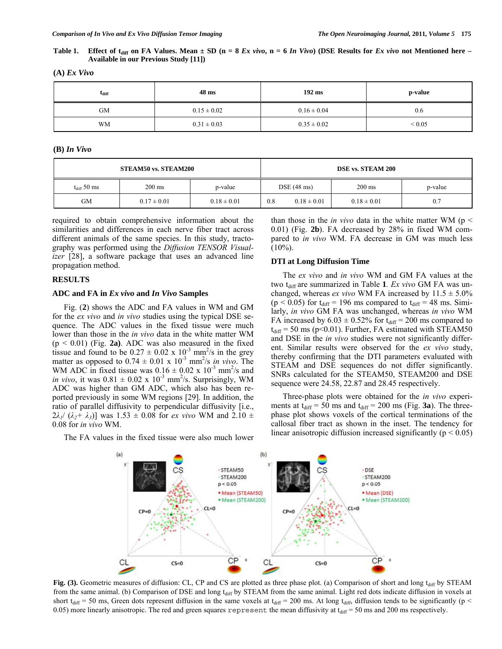**Table 1.** Effect of t<sub>diff</sub> on FA Values. Mean  $\pm$  SD (n = 8 *Ex vivo*, n = 6 *In Vivo*) (DSE Results for *Ex vivo* not Mentioned here – **Available in our Previous Study [11])** 

| $L_{diff}$ | 48 ms           | $192 \text{ ms}$ | p-value     |
|------------|-----------------|------------------|-------------|
| <b>GM</b>  | $0.15 \pm 0.02$ | $0.16 \pm 0.04$  | 0.6         |
| <b>WM</b>  | $0.31 \pm 0.03$ | $0.35 \pm 0.02$  | ${}_{0.05}$ |

**(A)** *Ex Vivo*

#### **(B)** *In Vivo*

| STEAM50 vs. STEAM200    |                  |                 | DSE vs. STEAM 200 |                      |                  |         |
|-------------------------|------------------|-----------------|-------------------|----------------------|------------------|---------|
| $t_{\text{diff}}$ 50 ms | $200 \text{ ms}$ | p-value         |                   | $DSE(48 \text{ ms})$ | $200 \text{ ms}$ | p-value |
| GМ                      | $0.17 \pm 0.01$  | $0.18 \pm 0.01$ | 0.8               | $0.18 \pm 0.01$      | $0.18 \pm 0.01$  | 0.7     |

required to obtain comprehensive information about the similarities and differences in each nerve fiber tract across different animals of the same species. In this study, tractography was performed using the *Diffusion TENSOR Visualizer* [28], a software package that uses an advanced line propagation method.

# **RESULTS**

#### **ADC and FA in** *Ex vivo* **and** *In Vivo* **Samples**

Fig. (**2**) shows the ADC and FA values in WM and GM for the *ex vivo* and *in vivo* studies using the typical DSE sequence. The ADC values in the fixed tissue were much lower than those in the *in vivo* data in the white matter WM  $(p < 0.01)$  (Fig. 2a). ADC was also measured in the fixed tissue and found to be  $0.27 \pm 0.02 \times 10^{-3}$  mm<sup>2</sup>/s in the grey matter as opposed to  $0.74 \pm 0.01 \times 10^{-3}$  mm<sup>2</sup>/s *in vivo*. The WM ADC in fixed tissue was  $0.16 \pm 0.02 \times 10^{-3}$  mm<sup>2</sup>/s and *in vivo*, it was  $0.81 \pm 0.02 \times 10^{-3}$  mm<sup>2</sup>/s. Surprisingly, WM ADC was higher than GM ADC, which also has been reported previously in some WM regions [29]. In addition, the ratio of parallel diffusivity to perpendicular diffusivity [i.e.,  $2\lambda_1$ /  $(\lambda_2 + \lambda_3)$ ] was 1.53  $\pm$  0.08 for *ex vivo* WM and 2.10  $\pm$ 0.08 for *in vivo* WM.

The FA values in the fixed tissue were also much lower

than those in the *in vivo* data in the white matter WM ( $p \le$ 0.01) (Fig. **2b**). FA decreased by 28% in fixed WM compared to *in vivo* WM. FA decrease in GM was much less  $(10\%)$ .

# **DTI at Long Diffusion Time**

 The *ex vivo* and *in vivo* WM and GM FA values at the two t<sub>diff</sub> are summarized in Table 1*. Ex vivo* GM FA was unchanged, whereas *ex vivo* WM FA increased by  $11.5 \pm 5.0\%$  $(p < 0.05)$  for  $t_{diff} = 196$  ms compared to  $t_{diff} = 48$  ms. Similarly, *in vivo* GM FA was unchanged, whereas *in vivo* WM FA increased by  $6.03 \pm 0.52\%$  for  $t_{diff} = 200$  ms compared to  $t_{diff}$  = 50 ms (p<0.01). Further, FA estimated with STEAM50 and DSE in the *in vivo* studies were not significantly different. Similar results were observed for the *ex vivo* study, thereby confirming that the DTI parameters evaluated with STEAM and DSE sequences do not differ significantly. SNRs calculated for the STEAM50, STEAM200 and DSE sequence were 24.58, 22.87 and 28.45 respectively.

 Three-phase plots were obtained for the *in vivo* experiments at  $t_{\text{diff}} = 50$  ms and  $t_{\text{diff}} = 200$  ms (Fig. 3a). The threephase plot shows voxels of the cortical terminations of the callosal fiber tract as shown in the inset. The tendency for linear anisotropic diffusion increased significantly ( $p < 0.05$ )



Fig. (3). Geometric measures of diffusion: CL, CP and CS are plotted as three phase plot. (a) Comparison of short and long t<sub>diff</sub> by STEAM from the same animal. (b) Comparison of DSE and long t<sub>diff</sub> by STEAM from the same animal. Light red dots indicate diffusion in voxels at short  $t_{diff}$  = 50 ms, Green dots represent diffusion in the same voxels at  $t_{diff}$  = 200 ms. At long  $t_{diff}$ , diffusion tends to be significantly (p < 0.05) more linearly anisotropic. The red and green squares represent the mean diffusivity at  $t_{\text{diff}} = 50$  ms and 200 ms respectively.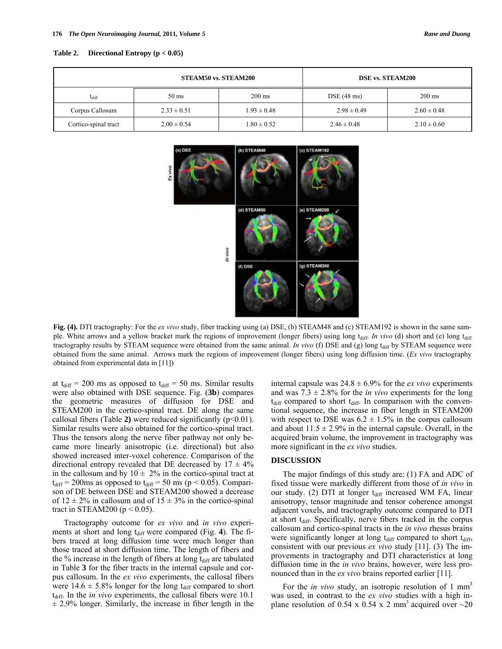| Table 2. | Directional Entropy ( $p < 0.05$ ) |  |
|----------|------------------------------------|--|
|----------|------------------------------------|--|

|                      | <b>STEAM50 vs. STEAM200</b> |                  | <b>DSE vs. STEAM200</b> |                  |  |
|----------------------|-----------------------------|------------------|-------------------------|------------------|--|
| $L_{diff}$           | $50 \text{ ms}$             | $200 \text{ ms}$ | $DSE(48 \text{ ms})$    | $200 \text{ ms}$ |  |
| Corpus Callosum      | $2.33 \pm 0.51$             | $1.93 \pm 0.48$  | $2.98 \pm 0.49$         | $2.60 \pm 0.48$  |  |
| Cortico-spinal tract | $2.00 \pm 0.54$             | $1.80 \pm 0.52$  | $2.46 \pm 0.48$         | $2.10 \pm 0.60$  |  |



**Fig. (4).** DTI tractography: For the *ex vivo* study, fiber tracking using (a) DSE, (b) STEAM48 and (c) STEAM192 is shown in the same sample. White arrows and a yellow bracket mark the regions of improvement (longer fibers) using long t<sub>diff</sub>. *In vivo* (d) short and (e) long t<sub>diff</sub> tractography results by STEAM sequence were obtained from the same animal. *In vivo* (f) DSE and (g) long t<sub>diff</sub> by STEAM sequence were obtained from the same animal.Arrows mark the regions of improvement (longer fibers) using long diffusion time. (*Ex vivo* tractography obtained from experimental data in [11])

at  $t_{diff}$  = 200 ms as opposed to  $t_{diff}$  = 50 ms. Similar results were also obtained with DSE sequence. Fig. (**3b**) compares the geometric measures of diffusion for DSE and STEAM200 in the cortico-spinal tract. DE along the same callosal fibers (Table **2)** were reduced significantly (p<0.01). Similar results were also obtained for the cortico-spinal tract. Thus the tensors along the nerve fiber pathway not only became more linearly anisotropic (i.e. directional) but also showed increased inter-voxel coherence. Comparison of the directional entropy revealed that DE decreased by  $17 \pm 4\%$ in the callosum and by  $10 \pm 2\%$  in the cortico-spinal tract at  $t_{diff}$  = 200ms as opposed to  $t_{diff}$  = 50 ms (p < 0.05). Comparison of DE between DSE and STEAM200 showed a decrease of  $12 \pm 2\%$  in callosum and of  $15 \pm 3\%$  in the cortico-spinal tract in STEAM200 ( $p < 0.05$ ).

 Tractography outcome for *ex vivo* and *in vivo* experiments at short and long t<sub>diff</sub> were compared (Fig. 4). The fibers traced at long diffusion time were much longer than those traced at short diffusion time. The length of fibers and the  $%$  increase in the length of fibers at long  $t_{diff}$  are tabulated in Table **3** for the fiber tracts in the internal capsule and corpus callosum. In the *ex vivo* experiments, the callosal fibers were  $14.6 \pm 5.8\%$  longer for the long t<sub>diff</sub> compared to short  $t_{diff}$ . In the *in vivo* experiments, the callosal fibers were 10.1  $\pm$  2.9% longer. Similarly, the increase in fiber length in the internal capsule was  $24.8 \pm 6.9\%$  for the *ex vivo* experiments and was  $7.3 \pm 2.8\%$  for the *in vivo* experiments for the long  $t_{diff}$  compared to short  $t_{diff}$ . In comparison with the conventional sequence, the increase in fiber length in STEAM200 with respect to DSE was  $6.2 \pm 1.5\%$  in the corpus callosum and about  $11.5 \pm 2.9\%$  in the internal capsule. Overall, in the acquired brain volume, the improvement in tractography was more significant in the *ex vivo* studies.

## **DISCUSSION**

The major findings of this study are: (1) FA and ADC of fixed tissue were markedly different from those of *in vivo* in our study. (2) DTI at longer  $t_{diff}$  increased WM FA, linear anisotropy, tensor magnitude and tensor coherence amongst adjacent voxels, and tractography outcome compared to DTI at short  $t_{diff}$ . Specifically, nerve fibers tracked in the corpus callosum and cortico-spinal tracts in the *in vivo* rhesus brains were significantly longer at long  $t_{diff}$  compared to short  $t_{diff}$ , consistent with our previous *ex vivo* study [11]. (3) The improvements in tractography and DTI characteristics at long diffusion time in the *in vivo* brains, however, were less pronounced than in the *ex vivo* brains reported earlier [11].

For the *in vivo* study, an isotropic resolution of 1 mm<sup>3</sup> was used, in contrast to the *ex vivo* studies with a high inplane resolution of 0.54 x 0.54 x 2 mm<sup>3</sup> acquired over  $\sim$ 20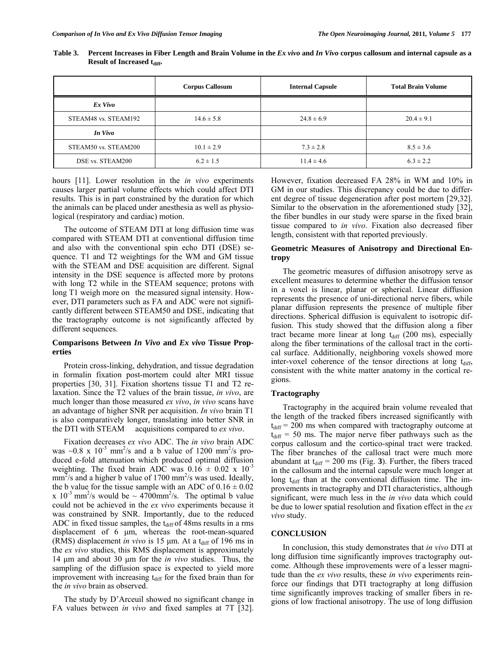|                      | <b>Corpus Callosum</b> | <b>Internal Capsule</b> | <b>Total Brain Volume</b> |
|----------------------|------------------------|-------------------------|---------------------------|
| Ex Vivo              |                        |                         |                           |
| STEAM48 vs. STEAM192 | $14.6 \pm 5.8$         | $24.8 \pm 6.9$          | $20.4 \pm 9.1$            |
| In Vivo              |                        |                         |                           |
| STEAM50 vs. STEAM200 | $10.1 \pm 2.9$         | $7.3 \pm 2.8$           | $8.5 \pm 3.6$             |
| DSE vs. STEAM200     | $6.2 \pm 1.5$          | $11.4 \pm 4.6$          | $6.3 \pm 2.2$             |

**Table 3. Percent Increases in Fiber Length and Brain Volume in the** *Ex vivo* **and** *In Vivo* **corpus callosum and internal capsule as a Result of Increased t<sub>diff</sub>.** 

hours [11]. Lower resolution in the *in vivo* experiments causes larger partial volume effects which could affect DTI results. This is in part constrained by the duration for which the animals can be placed under anesthesia as well as physiological (respiratory and cardiac) motion.

 The outcome of STEAM DTI at long diffusion time was compared with STEAM DTI at conventional diffusion time and also with the conventional spin echo DTI (DSE) sequence. T1 and T2 weightings for the WM and GM tissue with the STEAM and DSE acquisition are different. Signal intensity in the DSE sequence is affected more by protons with long T2 while in the STEAM sequence; protons with long T1 weigh more on the measured signal intensity. However, DTI parameters such as FA and ADC were not significantly different between STEAM50 and DSE, indicating that the tractography outcome is not significantly affected by different sequences.

# **Comparisons Between** *In Vivo* **and** *Ex vivo* **Tissue Properties**

 Protein cross-linking, dehydration, and tissue degradation in formalin fixation post-mortem could alter MRI tissue properties [30, 31]. Fixation shortens tissue T1 and T2 relaxation. Since the T2 values of the brain tissue, *in vivo*, are much longer than those measured *ex vivo*, *in vivo* scans have an advantage of higher SNR per acquisition. *In vivo* brain T1 is also comparatively longer, translating into better SNR in the DTI with STEAM acquisitions compared to *ex vivo*.

 Fixation decreases *ex vivo* ADC. The *in vivo* brain ADC was  $\sim 0.8$  x  $10^{-3}$  mm<sup>2</sup>/s and a b value of 1200 mm<sup>2</sup>/s produced e-fold attenuation which produced optimal diffusion weighting. The fixed brain ADC was  $0.16 \pm 0.02 \times 10^{-3}$  $mm<sup>2</sup>/s$  and a higher b value of 1700 mm<sup>2</sup>/s was used. Ideally, the b value for the tissue sample with an ADC of  $0.16 \pm 0.02$ x  $10^{-3}$  mm<sup>2</sup>/s would be  $\sim 4700$ mm<sup>2</sup>/s. The optimal b value could not be achieved in the *ex vivo* experiments because it was constrained by SNR. Importantly, due to the reduced ADC in fixed tissue samples, the  $t_{diff}$  of 48ms results in a rms displacement of 6 μm, whereas the root-mean-squared (RMS) displacement *in vivo* is 15  $\mu$ m. At a t<sub>diff</sub> of 196 ms in the *ex vivo* studies, this RMS displacement is approximately 14 μm and about 30 μm for the *in vivo* studies. Thus, the sampling of the diffusion space is expected to yield more improvement with increasing  $t_{diff}$  for the fixed brain than for the *in vivo* brain as observed.

 The study by D'Arceuil showed no significant change in FA values between *in vivo* and fixed samples at 7T [32]. However, fixation decreased FA 28% in WM and 10% in GM in our studies. This discrepancy could be due to different degree of tissue degeneration after post mortem [29,32]. Similar to the observation in the aforementioned study [32], the fiber bundles in our study were sparse in the fixed brain tissue compared to *in vivo*. Fixation also decreased fiber length, consistent with that reported previously.

# **Geometric Measures of Anisotropy and Directional Entropy**

 The geometric measures of diffusion anisotropy serve as excellent measures to determine whether the diffusion tensor in a voxel is linear, planar or spherical. Linear diffusion represents the presence of uni-directional nerve fibers, while planar diffusion represents the presence of multiple fiber directions. Spherical diffusion is equivalent to isotropic diffusion. This study showed that the diffusion along a fiber tract became more linear at long  $t_{diff}$  (200 ms), especially along the fiber terminations of the callosal tract in the cortical surface. Additionally, neighboring voxels showed more inter-voxel coherence of the tensor directions at long  $t_{diff}$ , consistent with the white matter anatomy in the cortical regions.

# **Tractography**

 Tractography in the acquired brain volume revealed that the length of the tracked fibers increased significantly with  $t_{diff}$  = 200 ms when compared with tractography outcome at  $t_{diff}$  = 50 ms. The major nerve fiber pathways such as the corpus callosum and the cortico-spinal tract were tracked. The fiber branches of the callosal tract were much more abundant at  $t_{\text{diff}} = 200$  ms (Fig. 3). Further, the fibers traced in the callosum and the internal capsule were much longer at long  $t_{diff}$  than at the conventional diffusion time. The improvements in tractography and DTI characteristics, although significant, were much less in the *in vivo* data which could be due to lower spatial resolution and fixation effect in the *ex vivo* study.

# **CONCLUSION**

 In conclusion, this study demonstrates that *in vivo* DTI at long diffusion time significantly improves tractography outcome. Although these improvements were of a lesser magnitude than the *ex vivo* results, these *in vivo* experiments reinforce our findings that DTI tractography at long diffusion time significantly improves tracking of smaller fibers in regions of low fractional anisotropy. The use of long diffusion